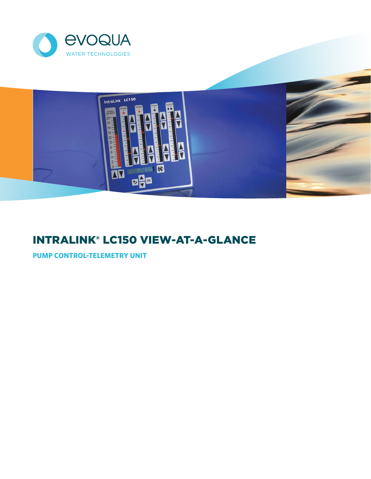



# IntraLink® LC150 View-at-a-Glance

**Pump control-telemetry Unit**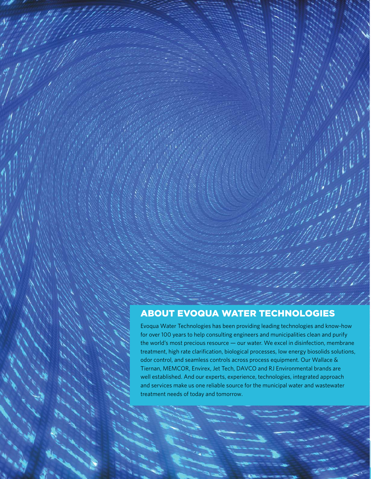### **ABOUT EVOQUA WATER TECHNOLOGIES**

Evoqua Water Technologies has been providing leading technologies and know-how for over 100 years to help consulting engineers and municipalities clean and purify the world's most precious resource — our water. We excel in disinfection, membrane treatment, high rate clarification, biological processes, low energy biosolids solutions, odor control, and seamless controls across process equipment. Our Wallace & Tiernan, MEMCOR, Envirex, Jet Tech, DAVCO and RJ Environmental brands are well established. And our experts, experience, technologies, integrated approach and services make us one reliable source for the municipal water and wastewater treatment needs of today and tomorrow.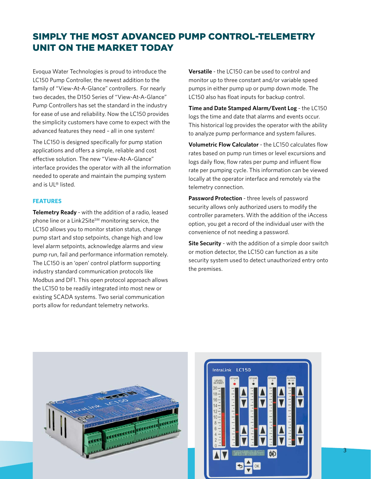## Simply the Most Advanced Pump Control-Telemetry Unit on the Market Today

Evoqua Water Technologies is proud to introduce the LC150 Pump Controller, the newest addition to the family of "View-At-A-Glance" controllers. For nearly two decades, the D150 Series of "View-At-A-Glance" Pump Controllers has set the standard in the industry for ease of use and reliability. Now the LC150 provides the simplicity customers have come to expect with the advanced features they need – all in one system!

The LC150 is designed specifically for pump station applications and offers a simple, reliable and cost effective solution. The new "View-At-A-Glance" interface provides the operator with all the information needed to operate and maintain the pumping system and is UL® listed.

### **Features**

**Telemetry Ready** - with the addition of a radio, leased phone line or a Link2Site<sup>SM</sup> monitoring service, the LC150 allows you to monitor station status, change pump start and stop setpoints, change high and low level alarm setpoints, acknowledge alarms and view pump run, fail and performance information remotely. The LC150 is an 'open' control platform supporting industry standard communication protocols like Modbus and DF1. This open protocol approach allows the LC150 to be readily integrated into most new or existing SCADA systems. Two serial communication ports allow for redundant telemetry networks.

**Versatile** - the LC150 can be used to control and monitor up to three constant and/or variable speed pumps in either pump up or pump down mode. The LC150 also has float inputs for backup control.

**Time and Date Stamped Alarm/Event Log** - the LC150 logs the time and date that alarms and events occur. This historical log provides the operator with the ability to analyze pump performance and system failures.

**Volumetric Flow Calculator - the LC150 calculates flow** rates based on pump run times or level excursions and logs daily flow, flow rates per pump and influent flow rate per pumping cycle. This information can be viewed locally at the operator interface and remotely via the telemetry connection.

**Password Protection** - three levels of password security allows only authorized users to modify the controller parameters. With the addition of the iAccess option, you get a record of the individual user with the convenience of not needing a password.

**Site Security** - with the addition of a simple door switch or motion detector, the LC150 can function as a site security system used to detect unauthorized entry onto the premises.



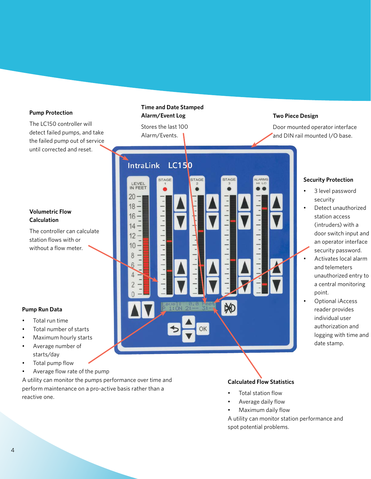### **Pump Protection**

The LC150 controller will detect failed pumps, and take the failed pump out of service until corrected and reset.

### **Volumetric Flow Calculation**

The controller can calculate station flows with or without a flow meter.

### **Pump Run Data**

- Total run time
- Total number of starts
- Maximum hourly starts
- • Average number of starts/day
- Total pump flow
- • Average flow rate of the pump

A utility can monitor the pumps performance over time and perform maintenance on a pro-active basis rather than a reactive one.

### **Time and Date Stamped Alarm/Event Log**

Stores the last 100 Alarm/Events.

IntraLink LC150 STAGE STAGE LEVEL<br>IN FEET 20 18 16  $14$  $1111$ 12 10 8  $\overline{a}$ F

### **Two Piece Design**

Door mounted operator interface and DIN rail mounted I/O base.

### **Security Protection**

- 3 level password security
- Detect unauthorized station access (intruders) with a door switch input and an operator interface security password.
- • Activates local alarm and telemeters unauthorized entry to a central monitoring point.
	- Optional iAccess reader provides individual user authorization and logging with time and date stamp.

### **Calculated Flow Statistics**

- Total station flow
- Average daily flow
- Maximum daily flow

A utility can monitor station performance and spot potential problems.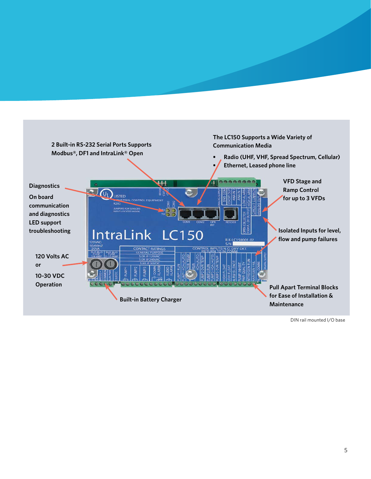

DIN rail mounted I/O base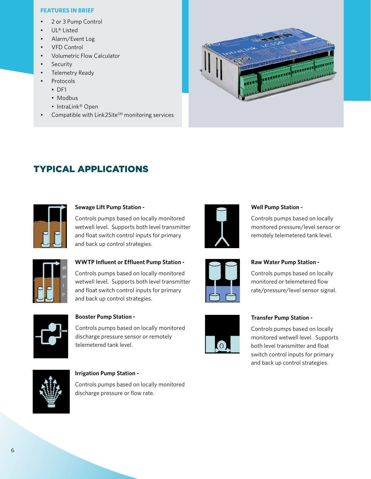### **Features In Brief**

- • 2 or 3 Pump Control
- • UL® Listed
- Alarm/Event Log
- • VFD Control
- • Volumetric Flow Calculator
- **Security**
- Telemetry Ready
- **Protocols** 
	- • DF1
	- Modbus
	- IntraLink® Open
- Compatible with Link2Site $^{5M}$  monitoring services



### typical applications



### **Sewage Lift Pump Station -**

Controls pumps based on locally monitored wetwell level. Supports both level transmitter and float switch control inputs for primary and back up control strategies.



### **Well Pump Station -**

Controls pumps based on locally monitored pressure/level sensor or remotely telemetered tank level.



### **WWTP Influent or Effluent Pump Station -**

Controls pumps based on locally monitored wetwell level. Supports both level transmitter and float switch control inputs for primary and back up control strategies.



### **Booster Pump Station -**

Controls pumps based on locally monitored discharge pressure sensor or remotely telemetered tank level.



### **Raw Water Pump Station -**

Controls pumps based on locally monitored or telemetered flow rate/pressure/level sensor signal.



### **Transfer Pump Station -**

Controls pumps based on locally monitored wetwell level. Supports both level transmitter and float switch control inputs for primary and back up control strategies.



#### **Irrigation Pump Station -**

Controls pumps based on locally monitored discharge pressure or flow rate.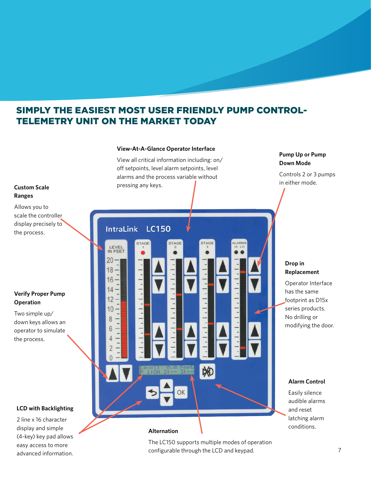### Simply the Easiest Most User Friendly Pump Control-Telemetry Unit on the Market Today

**View-At-A-Glance Operator Interface**



advanced information.

**Pump Up or Pump**